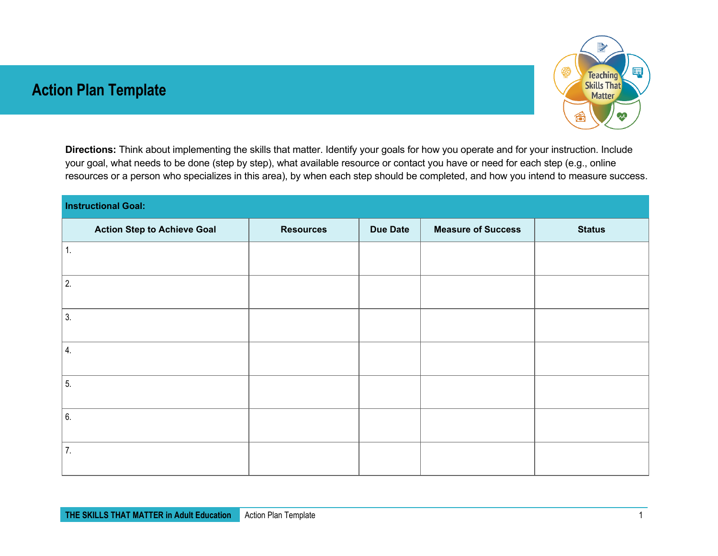## **Action Plan Template**



**Directions:** Think about implementing the skills that matter. Identify your goals for how you operate and for your instruction. Include your goal, what needs to be done (step by step), what available resource or contact you have or need for each step (e.g., online resources or a person who specializes in this area), by when each step should be completed, and how you intend to measure success.

| <b>Instructional Goal:</b> |                 |                           |               |  |  |  |  |
|----------------------------|-----------------|---------------------------|---------------|--|--|--|--|
| <b>Resources</b>           | <b>Due Date</b> | <b>Measure of Success</b> | <b>Status</b> |  |  |  |  |
|                            |                 |                           |               |  |  |  |  |
|                            |                 |                           |               |  |  |  |  |
|                            |                 |                           |               |  |  |  |  |
|                            |                 |                           |               |  |  |  |  |
|                            |                 |                           |               |  |  |  |  |
|                            |                 |                           |               |  |  |  |  |
|                            |                 |                           |               |  |  |  |  |
|                            |                 |                           |               |  |  |  |  |
|                            |                 |                           |               |  |  |  |  |
|                            |                 |                           |               |  |  |  |  |
|                            |                 |                           |               |  |  |  |  |